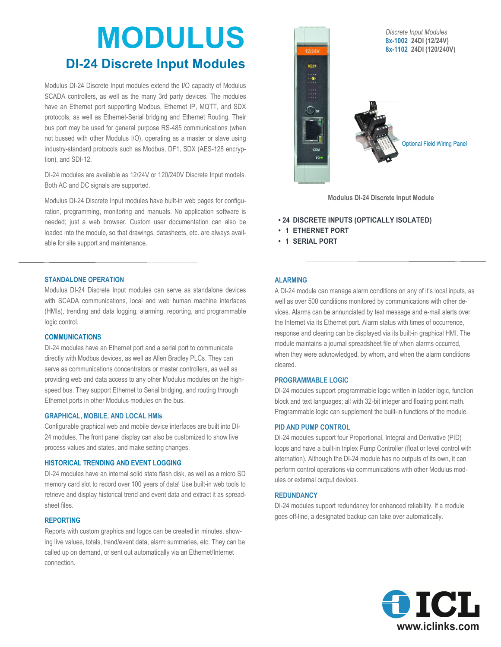# **MODULUS**

## **DI-24 Discrete Input Modules**

Modulus DI-24 Discrete Input modules extend the I/O capacity of Modulus SCADA controllers, as well as the many 3rd party devices. The modules have an Ethernet port supporting Modbus, Ethernet IP, MQTT, and SDX protocols, as well as Ethernet-Serial bridging and Ethernet Routing. Their bus port may be used for general purpose RS-485 communications (when not bussed with other Modulus I/O), operating as a master or slave using industry-standard protocols such as Modbus, DF1, SDX (AES-128 encryption), and SDI-12.

DI-24 modules are available as 12/24V or 120/240V Discrete Input models. Both AC and DC signals are supported.

Modulus DI-24 Discrete Input modules have built-in web pages for configuration, programming, monitoring and manuals. No application software is needed; just a web browser. Custom user documentation can also be loaded into the module, so that drawings, datasheets, etc. are always available for site support and maintenance.



**Modulus DI-24 Discrete Input Module**

**• 24 DISCRETE INPUTS (OPTICALLY ISOLATED)** 

- **1 ETHERNET PORT**
- **1 SERIAL PORT**

#### **STANDALONE OPERATION**

Modulus DI-24 Discrete Input modules can serve as standalone devices with SCADA communications, local and web human machine interfaces (HMIs), trending and data logging, alarming, reporting, and programmable logic control.

#### **COMMUNICATIONS**

DI-24 modules have an Ethernet port and a serial port to communicate directly with Modbus devices, as well as Allen Bradley PLCs. They can serve as communications concentrators or master controllers, as well as providing web and data access to any other Modulus modules on the highspeed bus. They support Ethernet to Serial bridging, and routing through Ethernet ports in other Modulus modules on the bus.

#### **GRAPHICAL, MOBILE, AND LOCAL HMIs**

Configurable graphical web and mobile device interfaces are built into DI-24 modules. The front panel display can also be customized to show live process values and states, and make setting changes.

#### **HISTORICAL TRENDING AND EVENT LOGGING**

DI-24 modules have an internal solid state flash disk, as well as a micro SD memory card slot to record over 100 years of data! Use built-in web tools to retrieve and display historical trend and event data and extract it as spreadsheet files.

#### **REPORTING**

Reports with custom graphics and logos can be created in minutes, showing live values, totals, trend/event data, alarm summaries, etc. They can be called up on demand, or sent out automatically via an Ethernet/Internet connection.

#### **ALARMING**

A DI-24 module can manage alarm conditions on any of it's local inputs, as well as over 500 conditions monitored by communications with other devices. Alarms can be annunciated by text message and e-mail alerts over the Internet via its Ethernet port. Alarm status with times of occurrence, response and clearing can be displayed via its built-in graphical HMI. The module maintains a journal spreadsheet file of when alarms occurred, when they were acknowledged, by whom, and when the alarm conditions cleared.

#### **PROGRAMMABLE LOGIC**

DI-24 modules support programmable logic written in ladder logic, function block and text languages; all with 32-bit integer and floating point math. Programmable logic can supplement the built-in functions of the module.

#### **PID AND PUMP CONTROL**

DI-24 modules support four Proportional, Integral and Derivative (PID) loops and have a built-in triplex Pump Controller (float or level control with alternation). Although the DI-24 module has no outputs of its own, it can perform control operations via communications with other Modulus modules or external output devices.

#### **REDUNDANCY**

DI-24 modules support redundancy for enhanced reliability. If a module goes off-line, a designated backup can take over automatically.